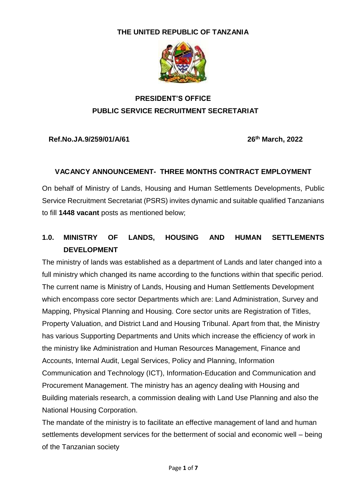#### **THE UNITED REPUBLIC OF TANZANIA**



# **PRESIDENT'S OFFICE PUBLIC SERVICE RECRUITMENT SECRETARIAT**

**Ref.No.JA.9/259/01/A/61 26**

**th March, 2022**

#### **VACANCY ANNOUNCEMENT- THREE MONTHS CONTRACT EMPLOYMENT**

On behalf of Ministry of Lands, Housing and Human Settlements Developments, Public Service Recruitment Secretariat (PSRS) invites dynamic and suitable qualified Tanzanians to fill **1448 vacant** posts as mentioned below;

# **1.0. MINISTRY OF LANDS, HOUSING AND HUMAN SETTLEMENTS DEVELOPMENT**

The ministry of lands was established as a department of Lands and later changed into a full ministry which changed its name according to the functions within that specific period. The current name is Ministry of Lands, Housing and Human Settlements Development which encompass core sector Departments which are: Land Administration, Survey and Mapping, Physical Planning and Housing. Core sector units are Registration of Titles, Property Valuation, and District Land and Housing Tribunal. Apart from that, the Ministry has various Supporting Departments and Units which increase the efficiency of work in the ministry like Administration and Human Resources Management, Finance and Accounts, Internal Audit, Legal Services, Policy and Planning, Information Communication and Technology (ICT), Information-Education and Communication and Procurement Management. The ministry has an agency dealing with Housing and Building materials research, a commission dealing with Land Use Planning and also the National Housing Corporation.

The mandate of the ministry is to facilitate an effective management of land and human settlements development services for the betterment of social and economic well – being of the Tanzanian society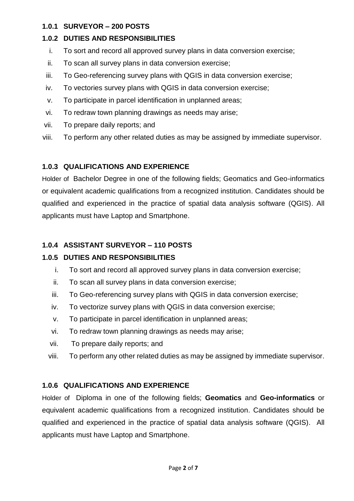#### **1.0.1 SURVEYOR – 200 POSTS**

#### **1.0.2 DUTIES AND RESPONSIBILITIES**

- i. To sort and record all approved survey plans in data conversion exercise;
- ii. To scan all survey plans in data conversion exercise;
- iii. To Geo-referencing survey plans with QGIS in data conversion exercise;
- iv. To vectories survey plans with QGIS in data conversion exercise;
- v. To participate in parcel identification in unplanned areas;
- vi. To redraw town planning drawings as needs may arise;
- vii. To prepare daily reports; and
- viii. To perform any other related duties as may be assigned by immediate supervisor.

# **1.0.3 QUALIFICATIONS AND EXPERIENCE**

Holder of Bachelor Degree in one of the following fields; Geomatics and Geo-informatics or equivalent academic qualifications from a recognized institution. Candidates should be qualified and experienced in the practice of spatial data analysis software (QGIS). All applicants must have Laptop and Smartphone.

# **1.0.4 ASSISTANT SURVEYOR – 110 POSTS**

# **1.0.5 DUTIES AND RESPONSIBILITIES**

- i. To sort and record all approved survey plans in data conversion exercise;
- ii. To scan all survey plans in data conversion exercise;
- iii. To Geo-referencing survey plans with QGIS in data conversion exercise;
- iv. To vectorize survey plans with QGIS in data conversion exercise;
- v. To participate in parcel identification in unplanned areas;
- vi. To redraw town planning drawings as needs may arise;
- vii. To prepare daily reports; and
- viii. To perform any other related duties as may be assigned by immediate supervisor.

# **1.0.6 QUALIFICATIONS AND EXPERIENCE**

Holder of Diploma in one of the following fields; **Geomatics** and **Geo-informatics** or equivalent academic qualifications from a recognized institution. Candidates should be qualified and experienced in the practice of spatial data analysis software (QGIS). All applicants must have Laptop and Smartphone.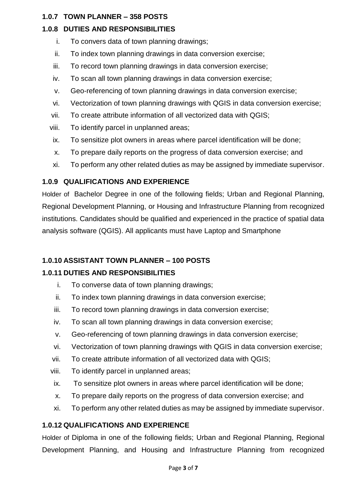#### **1.0.7 TOWN PLANNER – 358 POSTS**

# **1.0.8 DUTIES AND RESPONSIBILITIES**

- i. To convers data of town planning drawings;
- ii. To index town planning drawings in data conversion exercise;
- iii. To record town planning drawings in data conversion exercise;
- iv. To scan all town planning drawings in data conversion exercise;
- v. Geo-referencing of town planning drawings in data conversion exercise;
- vi. Vectorization of town planning drawings with QGIS in data conversion exercise;
- vii. To create attribute information of all vectorized data with QGIS;
- viii. To identify parcel in unplanned areas;
- ix. To sensitize plot owners in areas where parcel identification will be done;
- x. To prepare daily reports on the progress of data conversion exercise; and
- xi. To perform any other related duties as may be assigned by immediate supervisor.

# **1.0.9 QUALIFICATIONS AND EXPERIENCE**

Holder of Bachelor Degree in one of the following fields; Urban and Regional Planning, Regional Development Planning, or Housing and Infrastructure Planning from recognized institutions. Candidates should be qualified and experienced in the practice of spatial data analysis software (QGIS). All applicants must have Laptop and Smartphone

# **1.0.10 ASSISTANT TOWN PLANNER – 100 POSTS**

# **1.0.11 DUTIES AND RESPONSIBILITIES**

- i. To converse data of town planning drawings;
- ii. To index town planning drawings in data conversion exercise;
- iii. To record town planning drawings in data conversion exercise;
- iv. To scan all town planning drawings in data conversion exercise;
- v. Geo-referencing of town planning drawings in data conversion exercise;
- vi. Vectorization of town planning drawings with QGIS in data conversion exercise;
- vii. To create attribute information of all vectorized data with QGIS;
- viii. To identify parcel in unplanned areas;
- ix. To sensitize plot owners in areas where parcel identification will be done;
- x. To prepare daily reports on the progress of data conversion exercise; and
- xi. To perform any other related duties as may be assigned by immediate supervisor.

# **1.0.12 QUALIFICATIONS AND EXPERIENCE**

Holder of Diploma in one of the following fields; Urban and Regional Planning, Regional Development Planning, and Housing and Infrastructure Planning from recognized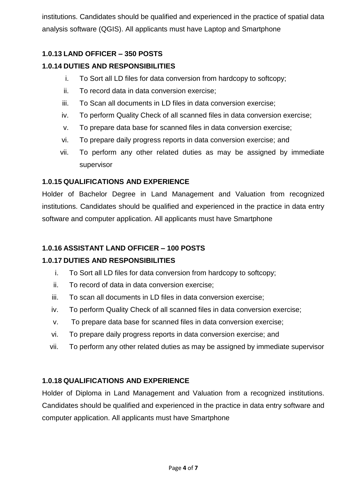institutions. Candidates should be qualified and experienced in the practice of spatial data analysis software (QGIS). All applicants must have Laptop and Smartphone

# **1.0.13 LAND OFFICER – 350 POSTS**

# **1.0.14 DUTIES AND RESPONSIBILITIES**

- i. To Sort all LD files for data conversion from hardcopy to softcopy;
- ii. To record data in data conversion exercise;
- iii. To Scan all documents in LD files in data conversion exercise;
- iv. To perform Quality Check of all scanned files in data conversion exercise;
- v. To prepare data base for scanned files in data conversion exercise;
- vi. To prepare daily progress reports in data conversion exercise; and
- vii. To perform any other related duties as may be assigned by immediate supervisor

#### **1.0.15 QUALIFICATIONS AND EXPERIENCE**

Holder of Bachelor Degree in Land Management and Valuation from recognized institutions. Candidates should be qualified and experienced in the practice in data entry software and computer application. All applicants must have Smartphone

### **1.0.16 ASSISTANT LAND OFFICER – 100 POSTS**

# **1.0.17 DUTIES AND RESPONSIBILITIES**

- i. To Sort all LD files for data conversion from hardcopy to softcopy;
- ii. To record of data in data conversion exercise;
- iii. To scan all documents in LD files in data conversion exercise;
- iv. To perform Quality Check of all scanned files in data conversion exercise;
- v. To prepare data base for scanned files in data conversion exercise;
- vi. To prepare daily progress reports in data conversion exercise; and
- vii. To perform any other related duties as may be assigned by immediate supervisor

# **1.0.18 QUALIFICATIONS AND EXPERIENCE**

Holder of Diploma in Land Management and Valuation from a recognized institutions. Candidates should be qualified and experienced in the practice in data entry software and computer application. All applicants must have Smartphone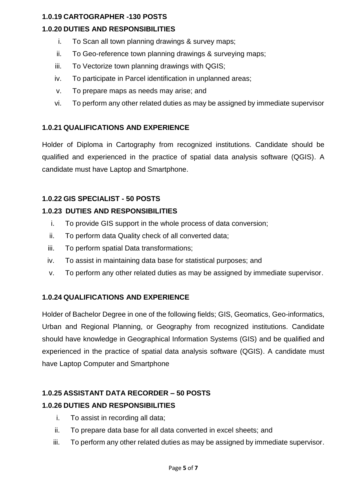#### **1.0.19 CARTOGRAPHER -130 POSTS**

# **1.0.20 DUTIES AND RESPONSIBILITIES**

- i. To Scan all town planning drawings & survey maps;
- ii. To Geo-reference town planning drawings & surveying maps;
- iii. To Vectorize town planning drawings with QGIS;
- iv. To participate in Parcel identification in unplanned areas;
- v. To prepare maps as needs may arise; and
- vi. To perform any other related duties as may be assigned by immediate supervisor

#### **1.0.21 QUALIFICATIONS AND EXPERIENCE**

Holder of Diploma in Cartography from recognized institutions. Candidate should be qualified and experienced in the practice of spatial data analysis software (QGIS). A candidate must have Laptop and Smartphone.

#### **1.0.22 GIS SPECIALIST - 50 POSTS**

#### **1.0.23 DUTIES AND RESPONSIBILITIES**

- i. To provide GIS support in the whole process of data conversion;
- ii. To perform data Quality check of all converted data;
- iii. To perform spatial Data transformations;
- iv. To assist in maintaining data base for statistical purposes; and
- v. To perform any other related duties as may be assigned by immediate supervisor.

#### **1.0.24 QUALIFICATIONS AND EXPERIENCE**

Holder of Bachelor Degree in one of the following fields; GIS, Geomatics, Geo-informatics, Urban and Regional Planning, or Geography from recognized institutions. Candidate should have knowledge in Geographical Information Systems (GIS) and be qualified and experienced in the practice of spatial data analysis software (QGIS). A candidate must have Laptop Computer and Smartphone

# **1.0.25 ASSISTANT DATA RECORDER – 50 POSTS 1.0.26 DUTIES AND RESPONSIBILITIES**

- i. To assist in recording all data;
- ii. To prepare data base for all data converted in excel sheets; and
- iii. To perform any other related duties as may be assigned by immediate supervisor.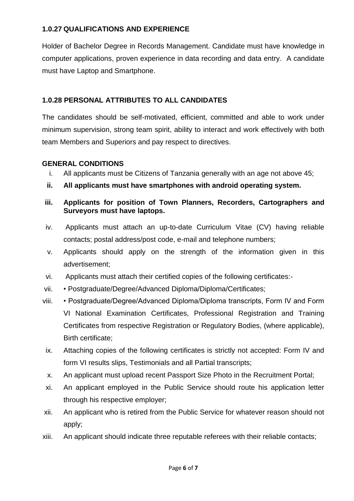#### **1.0.27 QUALIFICATIONS AND EXPERIENCE**

Holder of Bachelor Degree in Records Management. Candidate must have knowledge in computer applications, proven experience in data recording and data entry. A candidate must have Laptop and Smartphone.

#### **1.0.28 PERSONAL ATTRIBUTES TO ALL CANDIDATES**

The candidates should be self-motivated, efficient, committed and able to work under minimum supervision, strong team spirit, ability to interact and work effectively with both team Members and Superiors and pay respect to directives.

#### **GENERAL CONDITIONS**

- i. All applicants must be Citizens of Tanzania generally with an age not above 45;
- **ii. All applicants must have smartphones with android operating system.**
- **iii. Applicants for position of Town Planners, Recorders, Cartographers and Surveyors must have laptops.**
- iv. Applicants must attach an up-to-date Curriculum Vitae (CV) having reliable contacts; postal address/post code, e-mail and telephone numbers;
- v. Applicants should apply on the strength of the information given in this advertisement;
- vi. Applicants must attach their certified copies of the following certificates:-
- vii. Postgraduate/Degree/Advanced Diploma/Diploma/Certificates;
- viii. Postgraduate/Degree/Advanced Diploma/Diploma transcripts, Form IV and Form VI National Examination Certificates, Professional Registration and Training Certificates from respective Registration or Regulatory Bodies, (where applicable), Birth certificate;
- ix. Attaching copies of the following certificates is strictly not accepted: Form IV and form VI results slips, Testimonials and all Partial transcripts;
- x. An applicant must upload recent Passport Size Photo in the Recruitment Portal;
- xi. An applicant employed in the Public Service should route his application letter through his respective employer;
- xii. An applicant who is retired from the Public Service for whatever reason should not apply;
- xiii. An applicant should indicate three reputable referees with their reliable contacts;